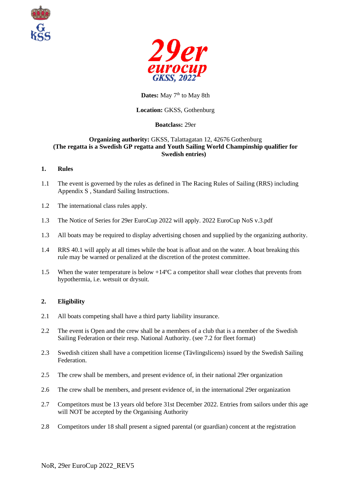



# Dates: May 7<sup>th</sup> to May 8th

## **Location:** GKSS, Gothenburg

## **Boatclass:** 29er

### **Organizing authority:** GKSS, Talattagatan 12, 42676 Gothenburg **(The regatta is a Swedish GP regatta and Youth Sailing World Champinship qualifier for Swedish entries)**

## **1. Rules**

- 1.1 The event is governed by the rules as defined in The Racing Rules of Sailing (RRS) including Appendix S , Standard Sailing Instructions.
- 1.2 The international class rules apply.
- 1.3 The Notice of Series for 29er EuroCup 2022 will apply. 2022 EuroCup NoS v.3.pdf
- 1.3 All boats may be required to display advertising chosen and supplied by the organizing authority.
- 1.4 RRS 40.1 will apply at all times while the boat is afloat and on the water. A boat breaking this rule may be warned or penalized at the discretion of the protest committee.
- 1.5 When the water temperature is below +14ºC a competitor shall wear clothes that prevents from hypothermia, i.e. wetsuit or drysuit.

# **2. Eligibility**

- 2.1 All boats competing shall have a third party liability insurance.
- 2.2 The event is Open and the crew shall be a members of a club that is a member of the Swedish Sailing Federation or their resp. National Authority. (see 7.2 for fleet format)
- 2.3 Swedish citizen shall have a competition license (Tävlingslicens) issued by the Swedish Sailing Federation.
- 2.5 The crew shall be members, and present evidence of, in their national 29er organization
- 2.6 The crew shall be members, and present evidence of, in the international 29er organization
- 2.7 Competitors must be 13 years old before 31st December 2022. Entries from sailors under this age will NOT be accepted by the Organising Authority
- 2.8 Competitors under 18 shall present a signed parental (or guardian) concent at the registration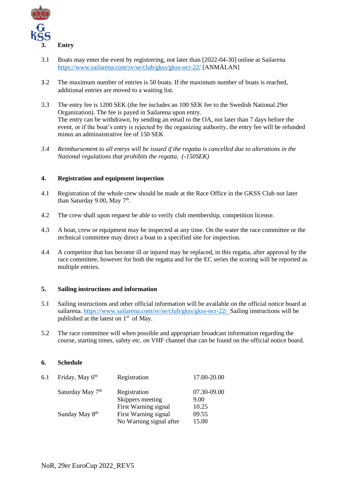

- 3.1 Boats may enter the event by registrering, not later than [2022-04-30] online at Sailarena <https://www.sailarena.com/sv/se/club/gkss/gkss-ocr-22/> [ANMÄLAN]
- 3.2 The maximum number of entries is 50 boats. If the maximum number of boats is reached, additional entries are moved to a waiting list.
- 3.3 The entry fee is 1200 SEK (the fee includes an 100 SEK fee to the Swedish National 29er Organization). The fee is payed in Sailarena upon entry. The entry can be withdrawn, by sending an email to the OA, not later than 7 days before the event, or if the boat's entry is rejected by the organizing authority, the entry fee will be refunded minus an adminaistrative fee of 150 SEK
- *3.4 Reimbursement to all entrys will be issued if the regatta is cancelled due to alterations in the National regulations that prohibits the regatta, (-150SEK)*

#### **4. Registration and equipment inspection**

- 4.1 Registration of the whole crew should be made at the Race Office in the GKSS Club not later than Saturday 9.00, May 7<sup>th</sup>.
- 4.2 The crew shall upon request be able to verify club membership, competition license.
- 4.3 A boat, crew or equipment may be inspected at any time. On the water the race committee or the technical committee may direct a boat to a specified site for inspection.
- 4.4 A competitor that has become ill or injured may be replaced, in this regatta, after approval by the race committee, however for both the regatta and for the EC series the scoring will be reported as multiple entries.

#### **5. Sailing instructions and information**

- 5.1 Sailing instructions and other official information will be available on the official notice board at sailarena.<https://www.sailarena.com/sv/se/club/gkss/gkss-ocr-22/>Sailing instructions will be published at the latest on  $1<sup>st</sup>$  of May.
- 5.2 The race committee will when possible and appropriate broadcast information regarding the course, starting times, safety etc. on VHF channel that can be found on the official notice board*.*

#### **6. Schedule**

| 6.1 | Friday, May 6th              | Registration                     | 17.00-20.00         |
|-----|------------------------------|----------------------------------|---------------------|
|     | Saturday May 7 <sup>th</sup> | Registration<br>Skippers meeting | 07.30-09.00<br>9.00 |
|     |                              | First Warning signal             | 10.25               |
|     | Sunday May 8 <sup>th</sup>   | First Warning signal             | 09.55               |
|     |                              | No Warning signal after          | 15.00               |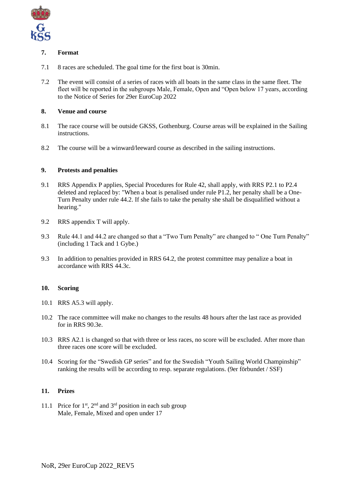

# **7. Format**

- 7.1 8 races are scheduled. The goal time for the first boat is 30min.
- 7.2 The event will consist of a series of races with all boats in the same class in the same fleet. The fleet will be reported in the subgroups Male, Female, Open and "Open below 17 years, according to the Notice of Series for 29er EuroCup 2022

# **8. Venue and course**

- 8.1 The race course will be outside GKSS, Gothenburg. Course areas will be explained in the Sailing instructions.
- 8.2 The course will be a winward/leeward course as described in the sailing instructions.

## **9. Protests and penalties**

- 9.1 RRS Appendix P applies, Special Procedures for Rule 42, shall apply, with RRS P2.1 to P2.4 deleted and replaced by: "When a boat is penalised under rule P1.2, her penalty shall be a One-Turn Penalty under rule 44.2. If she fails to take the penalty she shall be disqualified without a hearing."
- 9.2 RRS appendix T will apply.
- 9.3 Rule 44.1 and 44.2 are changed so that a "Two Turn Penalty" are changed to " One Turn Penalty" (including 1 Tack and 1 Gybe.)
- 9.3 In addition to penalties provided in RRS 64.2, the protest committee may penalize a boat in accordance with RRS 44.3c.

#### **10. Scoring**

- 10.1 RRS A5.3 will apply.
- 10.2 The race committee will make no changes to the results 48 hours after the last race as provided for in RRS 90.3e.
- 10.3 RRS A2.1 is changed so that with three or less races, no score will be excluded. After more than three races one score will be excluded.
- 10.4 Scoring for the "Swedish GP series" and for the Swedish "Youth Sailing World Champinship" ranking the results will be according to resp. separate regulations. (9er förbundet / SSF)

#### **11. Prizes**

11.1 Price for  $1<sup>st</sup>$ ,  $2<sup>nd</sup>$  and  $3<sup>rd</sup>$  position in each sub group Male, Female, Mixed and open under 17